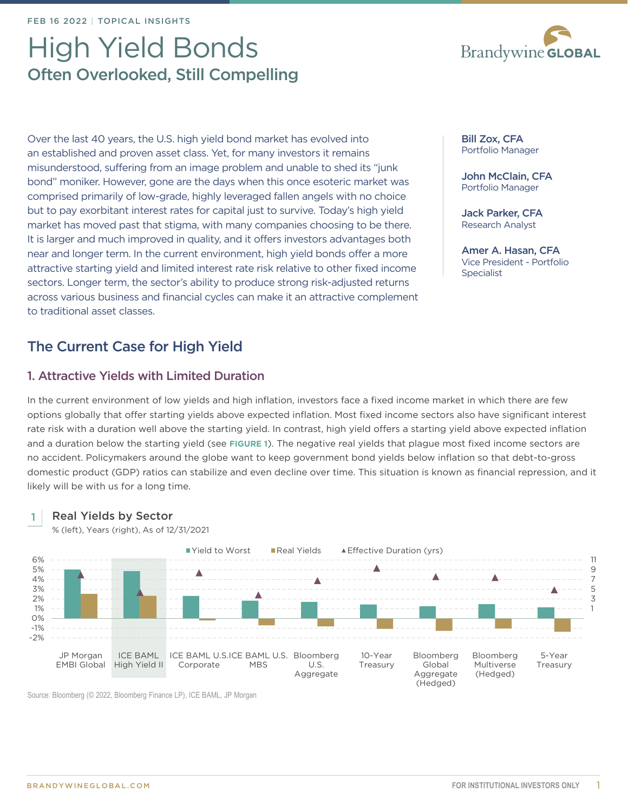# High Yield Bonds Often Overlooked, Still Compelling

Over the last 40 years, the U.S. high yield bond market has evolved into an established and proven asset class. Yet, for many investors it remains misunderstood, suffering from an image problem and unable to shed its "junk bond" moniker. However, gone are the days when this once esoteric market was comprised primarily of low-grade, highly leveraged fallen angels with no choice but to pay exorbitant interest rates for capital just to survive. Today's high yield market has moved past that stigma, with many companies choosing to be there. It is larger and much improved in quality, and it offers investors advantages both near and longer term. In the current environment, high yield bonds offer a more attractive starting yield and limited interest rate risk relative to other fixed income sectors. Longer term, the sector's ability to produce strong risk-adjusted returns across various business and financial cycles can make it an attractive complement to traditional asset classes.

## The Current Case for High Yield

### 1. Attractive Yields with Limited Duration

In the current environment of low yields and high inflation, investors face a fixed income market in which there are few options globally that offer starting yields above expected inflation. Most fixed income sectors also have significant interest rate risk with a duration well above the starting yield. In contrast, high yield offers a starting yield above expected inflation and a duration below the starting yield (see **FIGURE 1**). The negative real yields that plague most fixed income sectors are no accident. Policymakers around the globe want to keep government bond yields below inflation so that debt-to-gross domestic product (GDP) ratios can stabilize and even decline over time. This situation is known as financial repression, and it likely will be with us for a long time.



% (left), Years (right), As of 12/31/2021



Source: Bloomberg (© 2022, Bloomberg Finance LP), ICE BAML, JP Morgan



Bill Zox, CFA Portfolio Manager

John McClain, CFA Portfolio Manager

Jack Parker, CFA Research Analyst

Amer A. Hasan, CFA Vice President - Portfolio **Specialist**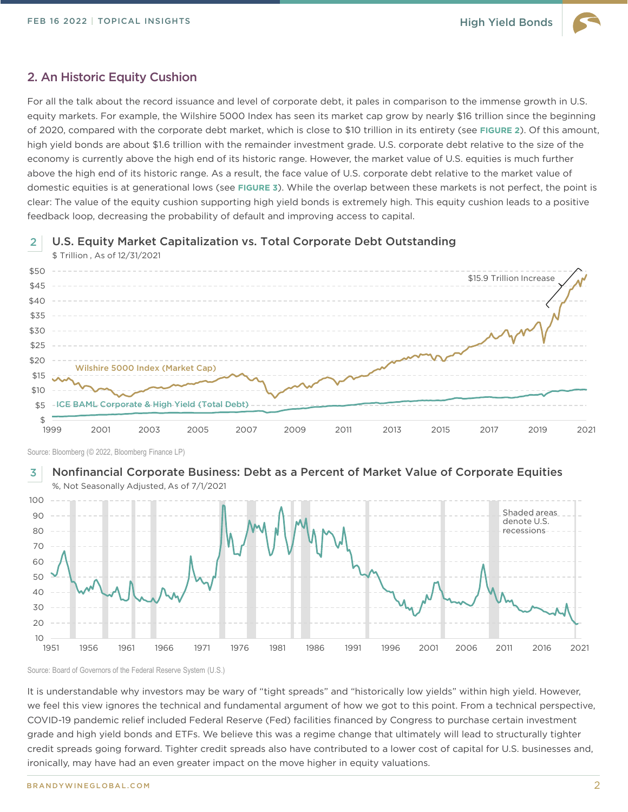### 2. An Historic Equity Cushion

\$ Trillion , As of 12/31/2021

For all the talk about the record issuance and level of corporate debt, it pales in comparison to the immense growth in U.S. equity markets. For example, the Wilshire 5000 Index has seen its market cap grow by nearly \$16 trillion since the beginning of 2020, compared with the corporate debt market, which is close to \$10 trillion in its entirety (see **FIGURE 2**). Of this amount, high yield bonds are about \$1.6 trillion with the remainder investment grade. U.S. corporate debt relative to the size of the economy is currently above the high end of its historic range. However, the market value of U.S. equities is much further above the high end of its historic range. As a result, the face value of U.S. corporate debt relative to the market value of domestic equities is at generational lows (see **FIGURE 3**). While the overlap between these markets is not perfect, the point is clear: The value of the equity cushion supporting high yield bonds is extremely high. This equity cushion leads to a positive feedback loop, decreasing the probability of default and improving access to capital.

#### U.S. Equity Market Capitalization vs. Total Corporate Debt Outstanding 2

\$ \$5 \$10 \$15 \$20 \$25 \$30 \$35 \$40 \$45 \$50 1999 2001 2003 2005 2007 2009 2011 2013 2015 2017 2019 2021 \$15.9 Trillion Increase -ICE BAML Corporate & High Yield (Total Debt) Wilshire 5000 Index (Market Cap)

Source: Bloomberg (© 2022, Bloomberg Finance LP)

#### Nonfinancial Corporate Business: Debt as a Percent of Market Value of Corporate Equities %, Not Seasonally Adjusted, As of 7/1/2021 3



Source: Board of Governors of the Federal Reserve System (U.S.)

It is understandable why investors may be wary of "tight spreads" and "historically low yields" within high yield. However, we feel this view ignores the technical and fundamental argument of how we got to this point. From a technical perspective, COVID-19 pandemic relief included Federal Reserve (Fed) facilities financed by Congress to purchase certain investment grade and high yield bonds and ETFs. We believe this was a regime change that ultimately will lead to structurally tighter credit spreads going forward. Tighter credit spreads also have contributed to a lower cost of capital for U.S. businesses and, ironically, may have had an even greater impact on the move higher in equity valuations.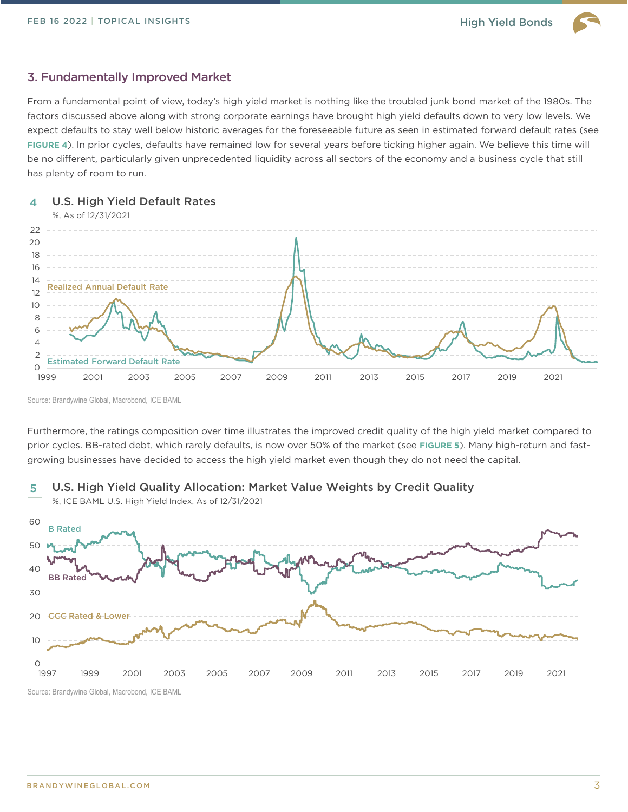### 3. Fundamentally Improved Market

From a fundamental point of view, today's high yield market is nothing like the troubled junk bond market of the 1980s. The factors discussed above along with strong corporate earnings have brought high yield defaults down to very low levels. We expect defaults to stay well below historic averages for the foreseeable future as seen in estimated forward default rates (see **FIGURE 4**). In prior cycles, defaults have remained low for several years before ticking higher again. We believe this time will be no different, particularly given unprecedented liquidity across all sectors of the economy and a business cycle that still has plenty of room to run.



Source: Brandywine Global, Macrobond, ICE BAML

Furthermore, the ratings composition over time illustrates the improved credit quality of the high yield market compared to prior cycles. BB-rated debt, which rarely defaults, is now over 50% of the market (see **FIGURE 5**). Many high-return and fastgrowing businesses have decided to access the high yield market even though they do not need the capital.



U.S. High Yield Quality Allocation: Market Value Weights by Credit Quality 5

Source: Brandywine Global, Macrobond, ICE BAML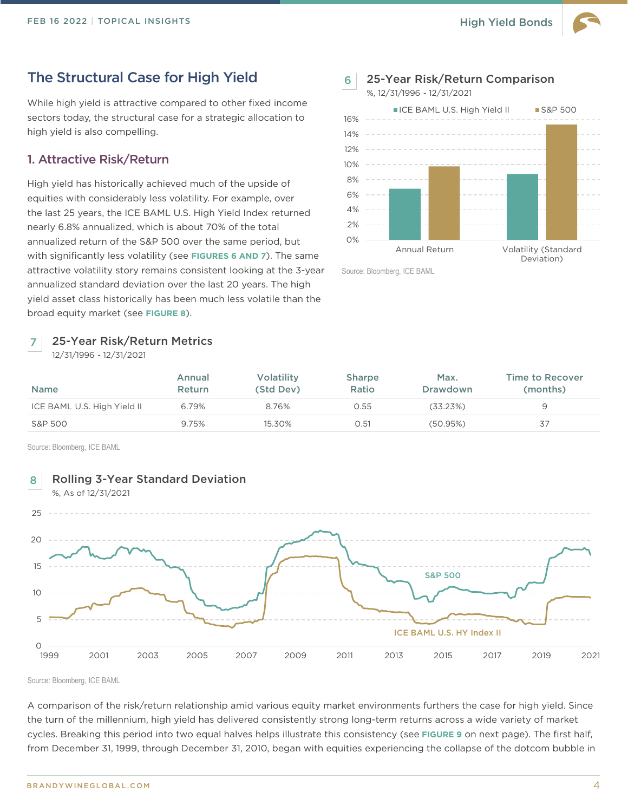### The Structural Case for High Yield

While high yield is attractive compared to other fixed income sectors today, the structural case for a strategic allocation to high yield is also compelling.

### 1. Attractive Risk/Return

High yield has historically achieved much of the upside of equities with considerably less volatility. For example, over the last 25 years, the ICE BAML U.S. High Yield Index returned nearly 6.8% annualized, which is about 70% of the total annualized return of the S&P 500 over the same period, but with significantly less volatility (see **FIGURES 6 AND 7**). The same attractive volatility story remains consistent looking at the 3-year annualized standard deviation over the last 20 years. The high yield asset class historically has been much less volatile than the broad equity market (see **FIGURE 8**).

#### 25-Year Risk/Return Metrics 7

12/31/1996 - 12/31/2021



Source: Bloomberg, ICE BAML

| <b>Name</b>                 | Annual<br><b>Return</b> | <b>Volatility</b><br>(Std Dev) | <b>Sharpe</b><br>Ratio | Max.<br><b>Drawdown</b> | <b>Time to Recover</b><br>(months) |
|-----------------------------|-------------------------|--------------------------------|------------------------|-------------------------|------------------------------------|
| ICE BAML U.S. High Yield II | 6.79%                   | 8.76%                          | 0.55                   | (33.23%)                |                                    |
| S&P 500                     | 9.75%                   | 15.30%                         | 0.51                   | (50.95%)                | 37                                 |

Source: Bloomberg, ICE BAML



Source: Bloomberg, ICE BAML

A comparison of the risk/return relationship amid various equity market environments furthers the case for high yield. Since the turn of the millennium, high yield has delivered consistently strong long-term returns across a wide variety of market cycles. Breaking this period into two equal halves helps illustrate this consistency (see **FIGURE 9** on next page). The first half, from December 31, 1999, through December 31, 2010, began with equities experiencing the collapse of the dotcom bubble in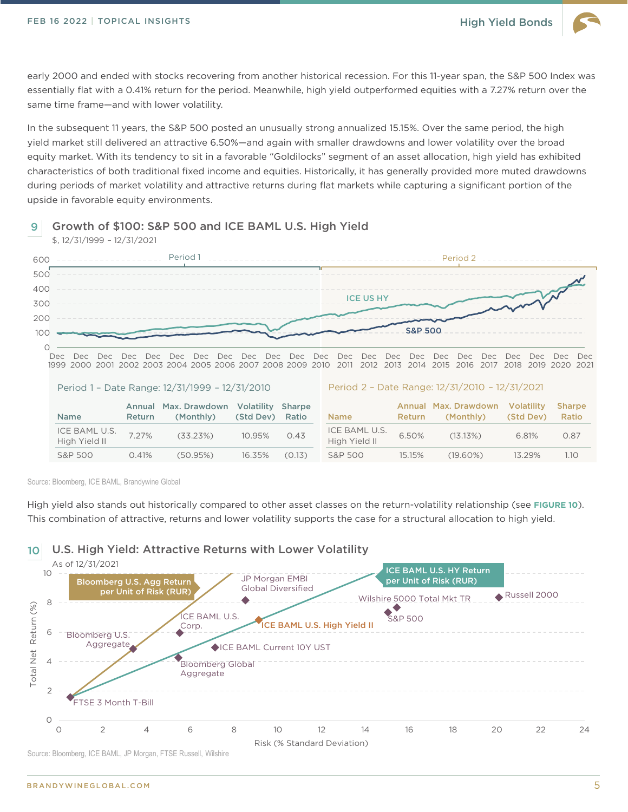\$, 12/31/1999 – 12/31/2021

early 2000 and ended with stocks recovering from another historical recession. For this 11-year span, the S&P 500 Index was essentially flat with a 0.41% return for the period. Meanwhile, high yield outperformed equities with a 7.27% return over the same time frame—and with lower volatility.

In the subsequent 11 years, the S&P 500 posted an unusually strong annualized 15.15%. Over the same period, the high yield market still delivered an attractive 6.50%—and again with smaller drawdowns and lower volatility over the broad equity market. With its tendency to sit in a favorable "Goldilocks" segment of an asset allocation, high yield has exhibited characteristics of both traditional fixed income and equities. Historically, it has generally provided more muted drawdowns during periods of market volatility and attractive returns during flat markets while capturing a significant portion of the upside in favorable equity environments.

#### Growth of \$100: S&P 500 and ICE BAML U.S. High Yield 9

 $\circ$ 100 200 300 400 500 600 Dec 1999 2000 2001 2002 2003 2004 2005 2006 2007 2008 2009 2010 2011 2012 2013 2014 2015 2016 2017 2018 2019 2020 2021 Dec Dec Dec Dec Dec Dec Dec Dec Dec Dec Dec Dec Dec Dec Dec Dec Dec Dec Dec Dec Dec Dec Period 1 Period 2 Period 1 – Date Range: 12/31/1999 – 12/31/2010 Name Annual Max. Drawdown Return (Monthly) Volatility (Std Dev) Sharpe Ratio ICE BAML U.S. High Yield II 7.27% (33.23%) 10.95% 0.43 S&P 500 0.41% (50.95%) 16.35% (0.13) Period 2 – Date Range: 12/31/2010 – 12/31/2021 Name Annual Max. Drawdown Return (Monthly) Volatility (Std Dev) Sharpe Ratio ICE BAML U.S. High Yield II 6.50% (13.13%) 6.81% 0.87 S&P 500 15.15% (19.60%) 13.29% 1.10 S&P 500 ICE US HY

Source: Bloomberg, ICE BAML, Brandywine Global

High yield also stands out historically compared to other asset classes on the return-volatility relationship (see **FIGURE 10**). This combination of attractive, returns and lower volatility supports the case for a structural allocation to high yield.



Source: Bloomberg, ICE BAML, JP Morgan, FTSE Russell, Wilshire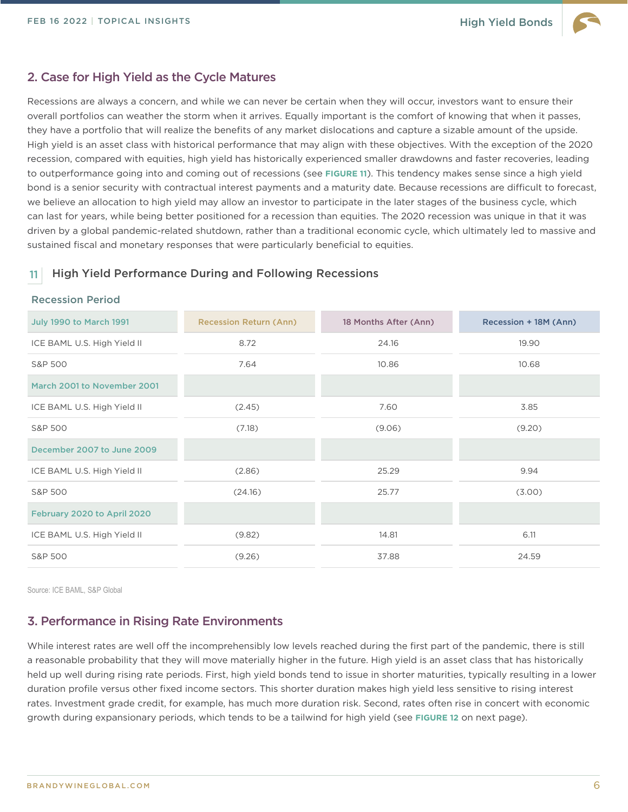### 2. Case for High Yield as the Cycle Matures

Recessions are always a concern, and while we can never be certain when they will occur, investors want to ensure their overall portfolios can weather the storm when it arrives. Equally important is the comfort of knowing that when it passes, they have a portfolio that will realize the benefits of any market dislocations and capture a sizable amount of the upside. High yield is an asset class with historical performance that may align with these objectives. With the exception of the 2020 recession, compared with equities, high yield has historically experienced smaller drawdowns and faster recoveries, leading to outperformance going into and coming out of recessions (see **FIGURE 11**). This tendency makes sense since a high yield bond is a senior security with contractual interest payments and a maturity date. Because recessions are difficult to forecast, we believe an allocation to high yield may allow an investor to participate in the later stages of the business cycle, which can last for years, while being better positioned for a recession than equities. The 2020 recession was unique in that it was driven by a global pandemic-related shutdown, rather than a traditional economic cycle, which ultimately led to massive and sustained fiscal and monetary responses that were particularly beneficial to equities.

### 11 High Yield Performance During and Following Recessions

### Recession Period

| <b>July 1990 to March 1991</b> | <b>Recession Return (Ann)</b> | 18 Months After (Ann) | Recession + 18M (Ann) |
|--------------------------------|-------------------------------|-----------------------|-----------------------|
| ICE BAML U.S. High Yield II    | 8.72                          | 24.16                 | 19.90                 |
| S&P 500                        | 7.64                          | 10.86                 | 10.68                 |
| March 2001 to November 2001    |                               |                       |                       |
| ICE BAML U.S. High Yield II    | (2.45)                        | 7.60                  | 3.85                  |
| S&P 500                        | (7.18)                        | (9.06)                | (9.20)                |
| December 2007 to June 2009     |                               |                       |                       |
| ICE BAML U.S. High Yield II    | (2.86)                        | 25.29                 | 9.94                  |
| S&P 500                        | (24.16)                       | 25.77                 | (3.00)                |
| February 2020 to April 2020    |                               |                       |                       |
| ICE BAML U.S. High Yield II    | (9.82)                        | 14.81                 | 6.11                  |
| S&P 500                        | (9.26)                        | 37.88                 | 24.59                 |

Source: ICE BAML, S&P Global

### 3. Performance in Rising Rate Environments

While interest rates are well off the incomprehensibly low levels reached during the first part of the pandemic, there is still a reasonable probability that they will move materially higher in the future. High yield is an asset class that has historically held up well during rising rate periods. First, high yield bonds tend to issue in shorter maturities, typically resulting in a lower duration profile versus other fixed income sectors. This shorter duration makes high yield less sensitive to rising interest rates. Investment grade credit, for example, has much more duration risk. Second, rates often rise in concert with economic growth during expansionary periods, which tends to be a tailwind for high yield (see **FIGURE 12** on next page).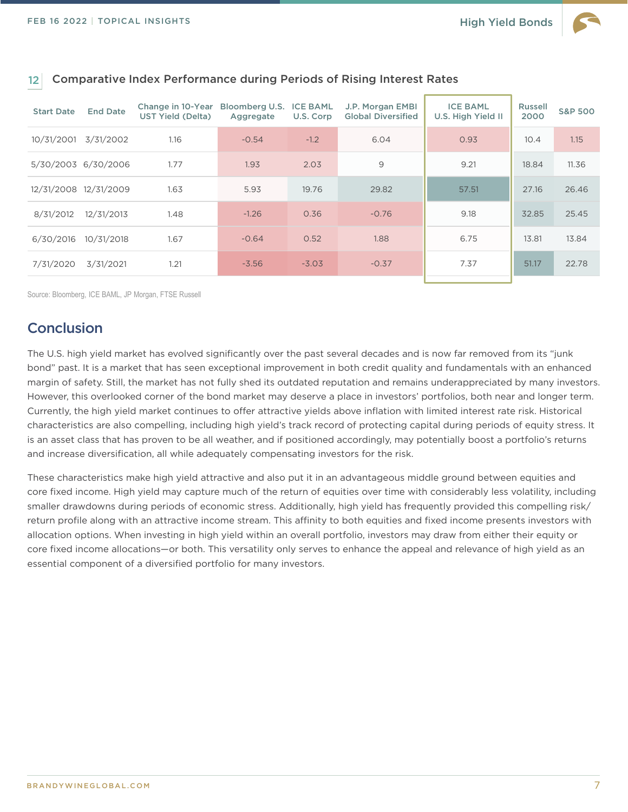

| <b>Start Date</b> | <b>End Date</b>       | Change in 10-Year Bloomberg U.S.<br>UST Yield (Delta) | Aggregate | <b>ICE BAML</b><br>U.S. Corp | J.P. Morgan EMBI<br><b>Global Diversified</b> | <b>ICE BAML</b><br>U.S. High Yield II | <b>Russell</b><br>2000 | <b>S&amp;P 500</b> |
|-------------------|-----------------------|-------------------------------------------------------|-----------|------------------------------|-----------------------------------------------|---------------------------------------|------------------------|--------------------|
| 10/31/2001        | 3/31/2002             | 1.16                                                  | $-0.54$   | $-1.2$                       | 6.04                                          | 0.93                                  | 10.4                   | 1.15               |
|                   | 5/30/2003 6/30/2006   | 1.77                                                  | 1.93      | 2.03                         | $\overline{9}$                                | 9.21                                  | 18.84                  | 11.36              |
|                   | 12/31/2008 12/31/2009 | 1.63                                                  | 5.93      | 19.76                        | 29.82                                         | 57.51                                 | 27.16                  | 26.46              |
| 8/31/2012         | 12/31/2013            | 1.48                                                  | $-1.26$   | 0.36                         | $-0.76$                                       | 9.18                                  | 32.85                  | 25.45              |
| 6/30/2016         | 10/31/2018            | 1.67                                                  | $-0.64$   | 0.52                         | 1.88                                          | 6.75                                  | 13.81                  | 13.84              |
| 7/31/2020         | 3/31/2021             | 1.21                                                  | $-3.56$   | $-3.03$                      | $-0.37$                                       | 7.37                                  | 51.17                  | 22.78              |

### 12 Comparative Index Performance during Periods of Rising Interest Rates

Source: Bloomberg, ICE BAML, JP Morgan, FTSE Russell

### **Conclusion**

The U.S. high yield market has evolved significantly over the past several decades and is now far removed from its "junk bond" past. It is a market that has seen exceptional improvement in both credit quality and fundamentals with an enhanced margin of safety. Still, the market has not fully shed its outdated reputation and remains underappreciated by many investors. However, this overlooked corner of the bond market may deserve a place in investors' portfolios, both near and longer term. Currently, the high yield market continues to offer attractive yields above inflation with limited interest rate risk. Historical characteristics are also compelling, including high yield's track record of protecting capital during periods of equity stress. It is an asset class that has proven to be all weather, and if positioned accordingly, may potentially boost a portfolio's returns and increase diversification, all while adequately compensating investors for the risk.

These characteristics make high yield attractive and also put it in an advantageous middle ground between equities and core fixed income. High yield may capture much of the return of equities over time with considerably less volatility, including smaller drawdowns during periods of economic stress. Additionally, high yield has frequently provided this compelling risk/ return profile along with an attractive income stream. This affinity to both equities and fixed income presents investors with allocation options. When investing in high yield within an overall portfolio, investors may draw from either their equity or core fixed income allocations—or both. This versatility only serves to enhance the appeal and relevance of high yield as an essential component of a diversified portfolio for many investors.